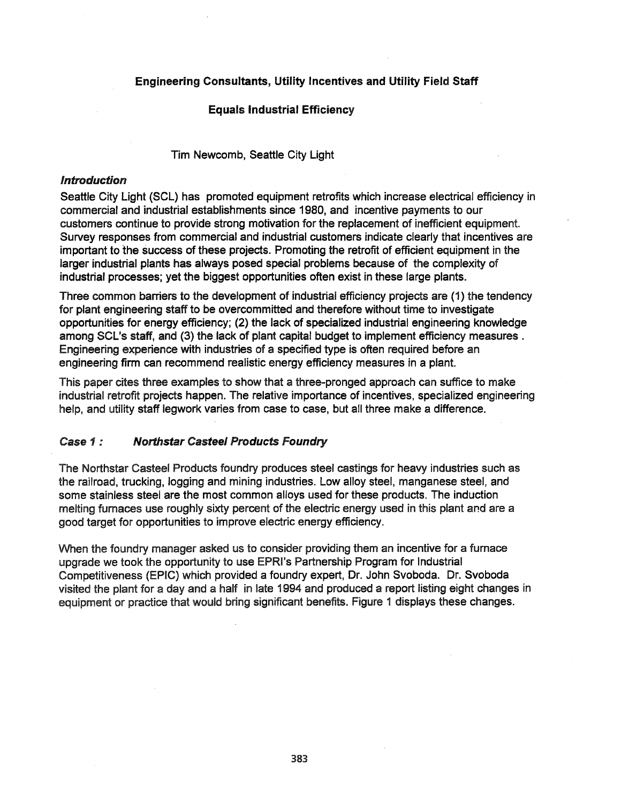# Engineering Consultants, Utility Incentives and Utility Field Staff

#### Equals Industrial Efficiency

Tim Newcomb, Seattle City Light

#### Introduction

Seattle City Light (SCl) has promoted equipment retrofits which increase electrical efficiency in commercial and industrial establishments since 1980, and incentive payments to our customers continue to provide strong motivation for the replacement of inefficient equipment. Survey responses from commercial and industrial customers indicate clearly that incentives are important to the success of these projects. Promoting the retrofit of efficient equipment in the larger industrial plants has always posed special problems because of the complexity of industrial processes; yet the biggest opportunities often exist in these large plants.

Three common barriers to the development of industrial efficiency projects are (1) the tendency for plant engineering staff to be overcommitted and therefore without time to investigate opportunities for energy efficiency; (2) the lack of specialized industrial engineering knowledge among SCl's staff, and (3) the lack of plant capital budget to implement efficiency measures. Engineering experience with industries of a specified type is often required before an engineering firm can recommend realistic energy efficiency measures in a plant.

This paper cites three examples to show that a three-pronged approach can suffice to make industrial retrofit projects happen. The relative importance of incentives, specialized engineering help, and utility staff legwork varies from case to case, but all three make a difference.

# Case 1 : Northstar Casteel Products Foundry

The Northstar Casteel Products foundry produces steel castings for heavy industries such as the railroad, trucking, logging and mining industries. Low alloy steel, manganese steel, and some stainless steel are the most common alloys used for these products. The induction melting furnaces use roughly sixty percent of the electric energy used in this plant and are a good target for opportunities to improve electric energy efficiency.

When the foundry manager asked us to consider providing them an incentive for a furnace upgrade we took the opportunity to use EPRI's Partnership Program for Industrial Competitiveness (EPIC) which provided a foundry expert, Dr. John Svoboda. Dr. Svoboda visited the plant for a day and a half in late 1994 and produced a report listing eight changes in equipment or practice that would bring significant benefits. Figure 1 displays these changes.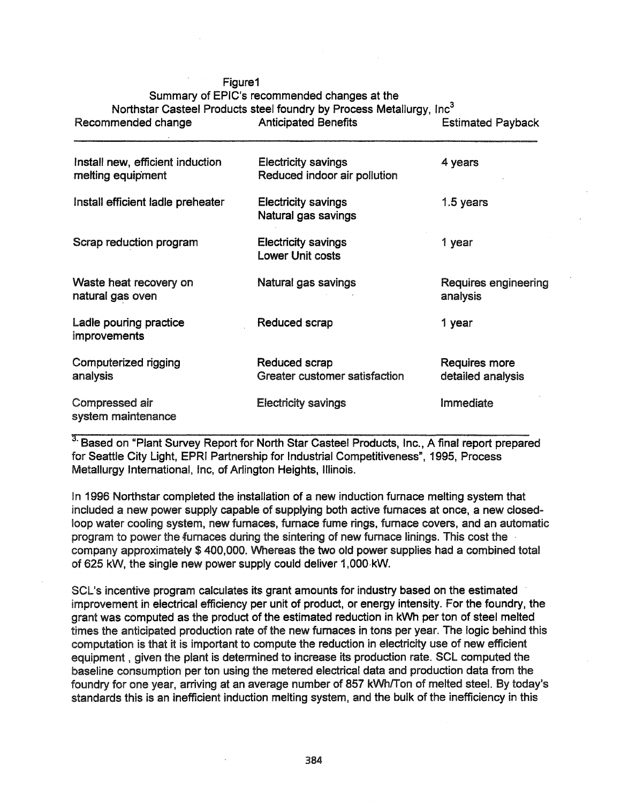| riguie i                                              | Summary of EPIC's recommended changes at the<br>Northstar Casteel Products steel foundry by Process Metallurgy, Inc <sup>3</sup> |                                  |
|-------------------------------------------------------|----------------------------------------------------------------------------------------------------------------------------------|----------------------------------|
| Recommended change                                    | <b>Anticipated Benefits</b>                                                                                                      | <b>Estimated Payback</b>         |
| Install new, efficient induction<br>melting equipment | <b>Electricity savings</b><br>Reduced indoor air pollution                                                                       | 4 years                          |
| Install efficient ladle preheater                     | <b>Electricity savings</b><br>Natural gas savings                                                                                | 1.5 years                        |
| Scrap reduction program                               | <b>Electricity savings</b><br><b>Lower Unit costs</b>                                                                            | 1 year                           |
| Waste heat recovery on<br>natural gas oven            | Natural gas savings                                                                                                              | Requires engineering<br>analysis |

Ladle pouring practice **Reduced scrap 1** year

Computerized rigging The Reduced scrap Requires more analysis Greater customer satisfaction detailed analysis

Compressed air Electricity savings Immediate

improvements

system maintenance

 $F: \ldots$ 

<sup>3.</sup> Based on "Plant Survey Report for North Star Casteel Products, Inc., A final report prepared for Seattle City Light, EPRI Partnership for Industrial Competitiveness", 1995, Process Metallurgy International, Inc, of Arlington Heights, Illinois.

In 1996 Northstar completed the installation of a new induction furnace melting system that included a new power supply capable of supplying both active fumaces at once, a new closedloop water cooling system, new furnaces, fumace fume rings, fumace covers, and an automatic program to power the furnaces during the sintering of new fumace linings. This cost the company approximately \$ 400,000. Whereas the two old power supplies had a combined total of 625 kW, the single new power supply could deliver 1,OOO·kW.

SCL's incentive program calculates its grant amounts for industry based on the estimated improvement in electrical efficiency per unit of product, or energy intensity. For the foundry, the grant was computed as the product of the estimated reduction in kWh per ton of steel melted times the anticipated production rate of the new furnaces in tons per year. The logic behind this computation is that it is important to compute the reduction in electricity use of new efficient equipment, given the plant is determined to increase its production rate. SCL computed the baseline consumption per ton using the metered electrical data and production data from the foundry for one year, arriving at an average number of 857 kWh/Ton of melted steel. By today's standards this is an inefficient induction melting system, and the bulk of the inefficiency in this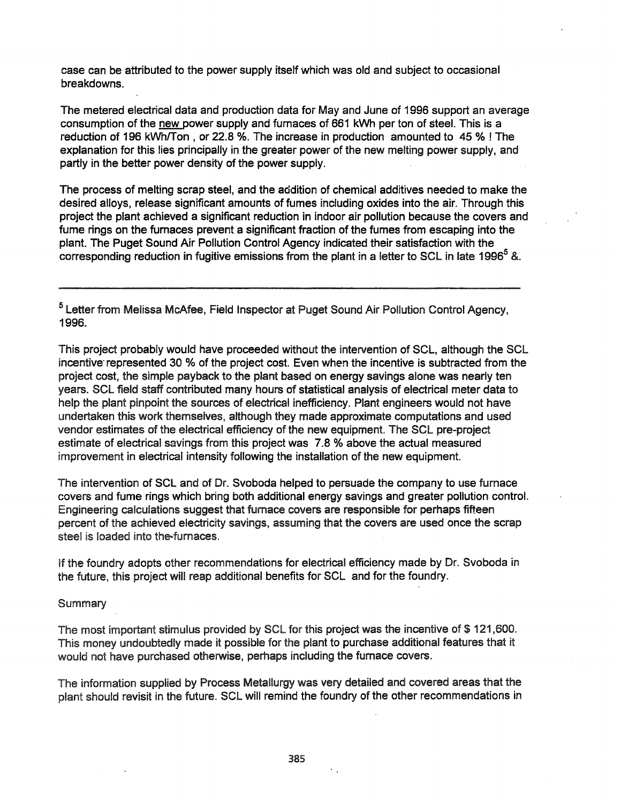case can be attributed to the power supply itself which was old and subject to occasional breakdowns.

The metered electrical data and production data for May and June of 1996 support an average consumption of the new power supply and furnaces of 661 kWh per ton of steel. This is a reduction of 196 kWh/Ton, or 22.8 %. The increase in production amounted to 45 % ! The explanation for this lies principally in the greater power of the new melting power supply, and partly in the better power density of the power supply.

The process of melting scrap steel, and the addition of chemical additives needed to make the desired alloys, release significant amounts of fumes including oxides into the air. Through this project the plant achieved a significant reduction in indoor air pollution because the covers and fume rings on the furnaces prevent a significant fraction of the fumes from escaping into the plant. The Puget Sound Air Pollution Control Agency indicated their satisfaction with the corresponding reduction in fugitive emissions from the plant in a letter to SCL in late 1996<sup>5</sup> &.

5 letter from Melissa McAfee, Field Inspector at Puget Sound Air Pollution Control Agency, 1996.

This project probably would have proceeded without the intervention of SCl, although the SCl incentive' represented 30 % of the project cost. Even when the incentive is subtracted from the project cost, the simple payback to the plant based on energy savings alone was nearly ten years. SCl field staff contributed many hours of statistical analysis of electrical meter data to help the plant pinpoint the sources of electrical inefficiency. Plant engineers would not have undertaken this work themselves, although they made approximate computations and used vendor estimates of the electrical efficiency of the new equipment. The SCL pre-project estimate of electrical savings from this project was 7.8 % above the actual measured improvement in electrical intensity following the installation of the new equipment.

The intervention of SCl and of Dr. Svoboda helped to persuade the company to use furnace covers and fume rings which bring both additional energy savings and greater pollution control. Engineering calculations suggest that fumace covers are responsible for perhaps fifteen percent of the achieved electricity savings, assuming that the covers are used once the scrap steel is loaded into the-furnaces.

If the foundry adopts other recommendations for electrical efficiency made by Dr. Svoboda in the future, this project will reap additional benefits for SCl and for the foundry.

**Summary** 

The most important stimulus provided by SCL for this project was the incentive of \$121,600. This money undoubtedly made it possible for the plant to purchase additional features that it would not have purchased otherwise, perhaps including the furnace covers.

The information supplied by Process Metallurgy was very detailed and covered areas that the plant should revisit in the future. SCl will remind the foundry of the other recommendations in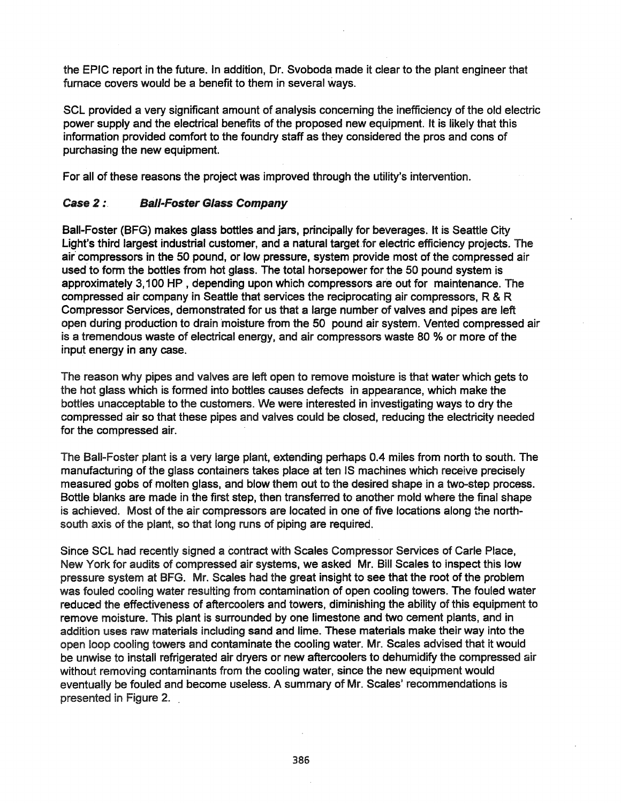the EPIC report in the future. In addition, Dr. Svoboda made it clear to the plant engineer that furnace covers would be a benefit to them in several ways.

SCl provided a very significant amount of analysis concerning the inefficiency of the old electric power supply and the electrical benefits of the proposed new equipment. It is likely that this information provided comfort to the foundry staff as they considered the pros and cons of purchasing the new equipment.

For all of these reasons the project was improved through the utility's intervention.

# Case 2 : Ball-Foster Glass Company

Ball-Foster (BFG) makes glass bottles and jars, principally for beverages. It is Seattle City Light's third largest industrial customer, and a natural target for electric efficiency projects. The air' compressors in the 50 pound, or low pressure, system provide most of the compressed air used to form the bottles from hot glass. The total horsepower for the 50 pound system is approximately 3,100 HP , depending upon which compressors are out for maintenance. The compressed air company in Seattle that services the reciprocating air compressors, R & R Compressor Services, demonstrated for us that a large number of valves and pipes are left open dUring production to drain 'moisture from the 50 pound air system. Vented compressed air is a tremendous waste of electrical energy, and air compressors waste 80 % or more of the input energy in any case.

The reason why pipes and valves are left open to remove moisture is that water which gets to the hot glass which is formed into bottles causes defects in appearance, which make the bottles unacceptable to the customers. We were interested in investigating ways to dry the compressed air so that these pipes and valves could be closed, reducing the electricity needed for the compressed air.

The Ball-Foster plant is a very large plant, extending perhaps 0.4 miles from north to south. The manufacturing of the glass containers takes place at ten IS machines which receive precisely measured gobs of molten glass, and blow them out to the desired shape in a two-step process. Bottle blanks are made in the first step, then transferred to another mold where the final shape is achieved. Most of the air compressors are located in one of five locations along the northsouth axis of the plant, so that long runs of piping are required.

Since SCl had recently signed a contract with Scales Compressor Services of Carle Place, New York for audits of compressed air systems, we asked Mr. Bill Scales to inspect this low pressure system at BFG. Mr. Scales had the great insight to see that the root of the problem was fouled cooling water resulting from contamination of open cooling towers. The fouled water reduced the effectiveness of aftercoolers and towers, diminishing the ability of this equipment to remove moisture. This plant is surrounded by one limestone and two cement plants, and in addition uses raw materials including sand and lime. These materials make their way into the open loop cooling towers and contaminate the cooling water. Mr. Scales advised that it would be unwise to install refrigerated air dryers or new aftercoolers to dehumidify the compressed air without removing contaminants from the cooling water, since the new equipment would eventually be fouled and become useless. A summary of Mr. Scales' recommendations is presented in Figure 2.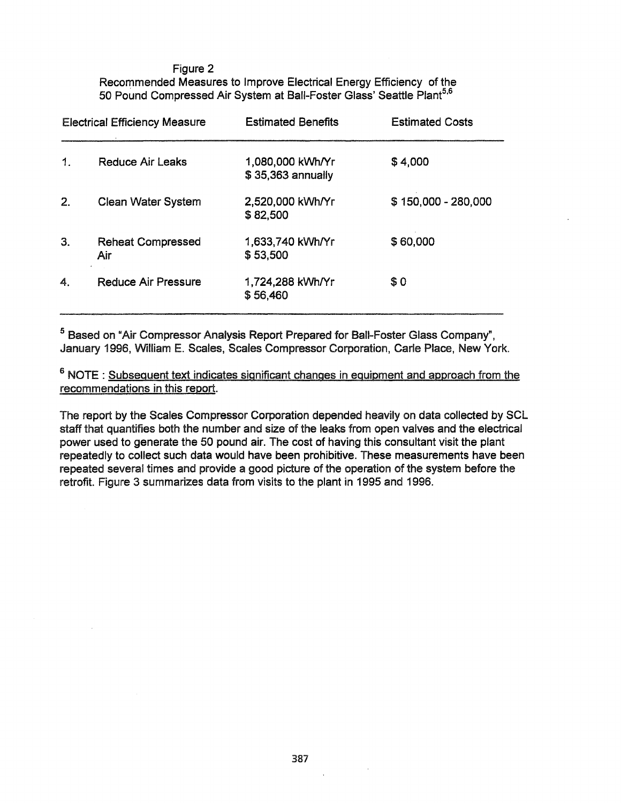Figure 2 Recommended Measures to Improve Electrical Energy Efficiency of the 50 Pound Compressed Air System at Ball-Foster Glass' Seattle Plant<sup>5,6</sup>

| <b>Electrical Efficiency Measure</b> |                                 | <b>Estimated Benefits</b>             | <b>Estimated Costs</b> |  |
|--------------------------------------|---------------------------------|---------------------------------------|------------------------|--|
| 1.                                   | Reduce Air Leaks                | 1,080,000 kWh/Yr<br>\$35,363 annually | \$4,000                |  |
| 2.                                   | <b>Clean Water System</b>       | 2,520,000 kWh/Yr<br>\$82,500          | \$150,000 - 280,000    |  |
| 3.                                   | <b>Reheat Compressed</b><br>Air | 1,633,740 kWh/Yr<br>\$53,500          | \$60,000               |  |
| 4.                                   | <b>Reduce Air Pressure</b>      | 1,724,288 kWh/Yr<br>\$56,460          | \$0                    |  |

5 Based on "Air Compressor Analysis Report Prepared for Ball-Foster Glass Company", January 1996, William E. Scales, Scales Compressor Corporation, Carle Place, New York.

6 NOTE : Subsequent text indicates significant changes in equipment and approach from the recommendations in this report.

The report by the Scales Compressor Corporation depended heavily on data collected by SCL staff that quantifies both the number and size of the leaks from open valves and the electrical power used to generate the 50 pound air. The cost of having this consultant visit the plant repeatedly to collect such data would have been prohibitive. These measurements have been repeated several times and provide a good picture of the operation of the system before the retrofit. Figure 3 summarizes data from visits to the plant in 1995 and 1996.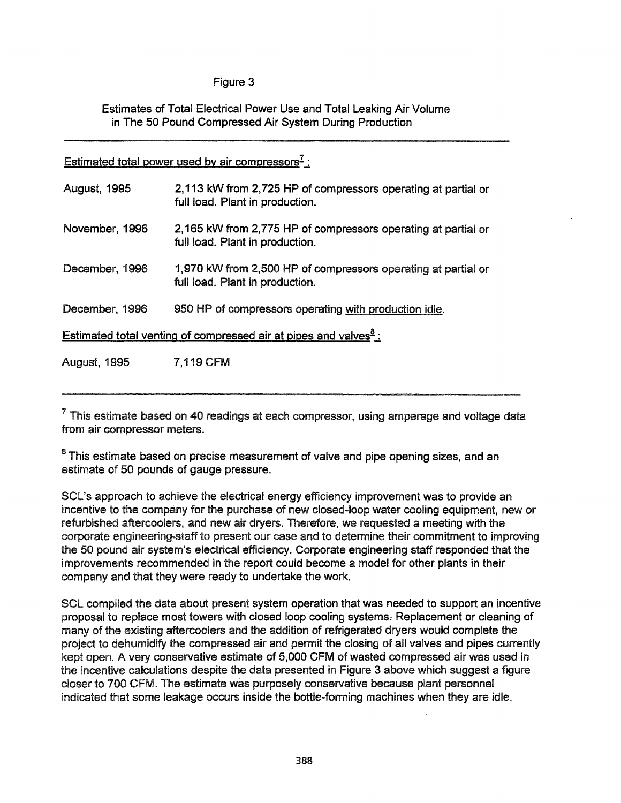# Figure 3

Estimates of Total Electrical Power Use and Total leaking Air Volume in The 50 Pound Compressed Air System During Production

Estimated total power used by air compressors<sup> $7$ </sup>.

| <b>August, 1995</b> | 2,113 kW from 2,725 HP of compressors operating at partial or<br>full load. Plant in production. |
|---------------------|--------------------------------------------------------------------------------------------------|
| November, 1996      | 2,165 kW from 2,775 HP of compressors operating at partial or<br>full load. Plant in production. |
| December, 1996      | 1,970 kW from 2,500 HP of compressors operating at partial or<br>full load. Plant in production. |
| December, 1996      | 950 HP of compressors operating with production idle.                                            |
|                     | Estimated total venting of compressed air at pipes and valves <sup>8</sup> :                     |
| <b>August, 1995</b> | <b>7,119 CFM</b>                                                                                 |

 $7$  This estimate based on 40 readings at each compressor, using amperage and voltage data from air compressor meters.

<sup>8</sup> This estimate based on precise measurement of valve and pipe opening sizes, and an estimate of 50 pounds of gauge pressure.

SCl's approach to achieve the electrical energy efficiency improvement was to provide an incentive to the company for the purchase of new closed-loop water cooling equipment, new or refurbished aftercoolers, and new air dryers. Therefore, we requested a meeting with the corporate engineering-staff to present our case and to determine their commitment to improving the 50 pound air system's electrical efficiency. Corporate engineering staff responded that the improvements recommended in the report could become a model for other plants in their company and that they were ready to undertake the work.

SCl compiled the data about present system operation that was needed to support an incentive proposal to replace most towers with closed loop cooling systems: Replacement or cleaning of many of the existing aftercoolers and the addition of refrigerated dryers would complete the project to dehumidify the compressed air and permit the closing of all valves and pipes currently kept open. A very conservative estimate of 5,000 CFM of wasted compressed air was used in the incentive calculations despite the data presented in Figure 3 above which suggest a figure closer to 700 CFM. The estimate was purposely conservative because plant personnel indicated that some leakage occurs inside the bottle-forming machines when they are idle.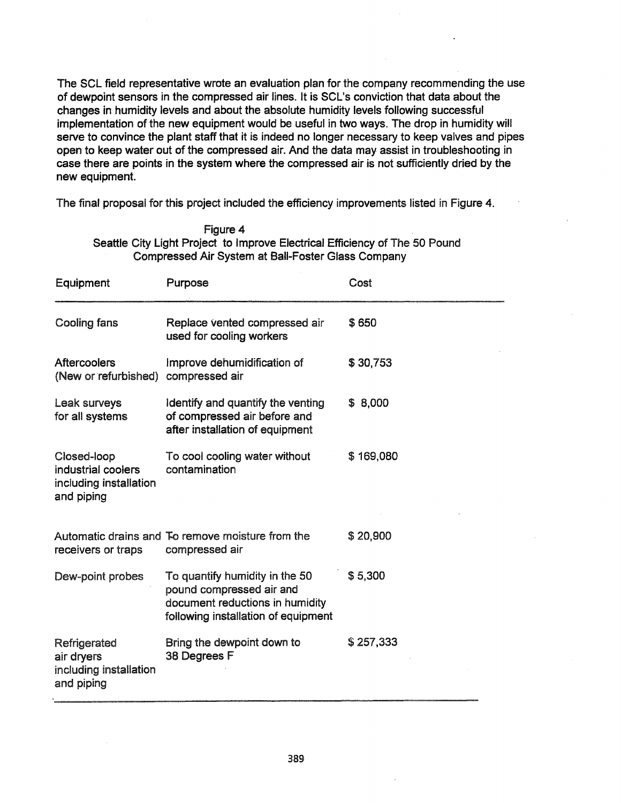The SCl field representative wrote an evaluation plan for the company recommending the use of dewpoint sensors in the compressed air lines. It is SCl's conviction that data about the changes in humidity levels and about the absolute humidity levels following successful implementation of the new equipment would be useful in two ways. The drop in humidity will serve to convince the plant staff that it is indeed no longer necessary to keep valves and pipes open to keep water out of the compressed air. And the data may assist in troubleshooting in case there are points in the system where the compressed air is not sufficiently dried by the new equipment.

The final proposal for this project included the efficiency improvements listed in Figure 4.

| Figure 4                                                                    |  |
|-----------------------------------------------------------------------------|--|
| Seattle City Light Project to Improve Electrical Efficiency of The 50 Pound |  |
| Compressed Air System at Ball-Foster Glass Company                          |  |

| Equipment                                                                 | Purpose                                                                                                                              | Cost      |
|---------------------------------------------------------------------------|--------------------------------------------------------------------------------------------------------------------------------------|-----------|
| <b>Cooling fans</b>                                                       | Replace vented compressed air<br>used for cooling workers                                                                            | \$650     |
| <b>Aftercoolers</b><br>(New or refurbished)                               | Improve dehumidification of<br>compressed air                                                                                        | \$30,753  |
| Leak surveys<br>for all systems                                           | Identify and quantify the venting<br>of compressed air before and<br>after installation of equipment                                 | \$ 8,000  |
| Closed-loop<br>industrial coolers<br>including installation<br>and piping | To cool cooling water without<br>contamination                                                                                       | \$169,080 |
| receivers or traps                                                        | Automatic drains and To remove moisture from the<br>compressed air                                                                   | \$20,900  |
| Dew-point probes                                                          | To quantify humidity in the 50<br>pound compressed air and<br>document reductions in humidity<br>following installation of equipment | \$5.300   |
| Refrigerated<br>air dryers<br>including installation<br>and piping        | Bring the dewpoint down to<br>38 Degrees F                                                                                           | \$257,333 |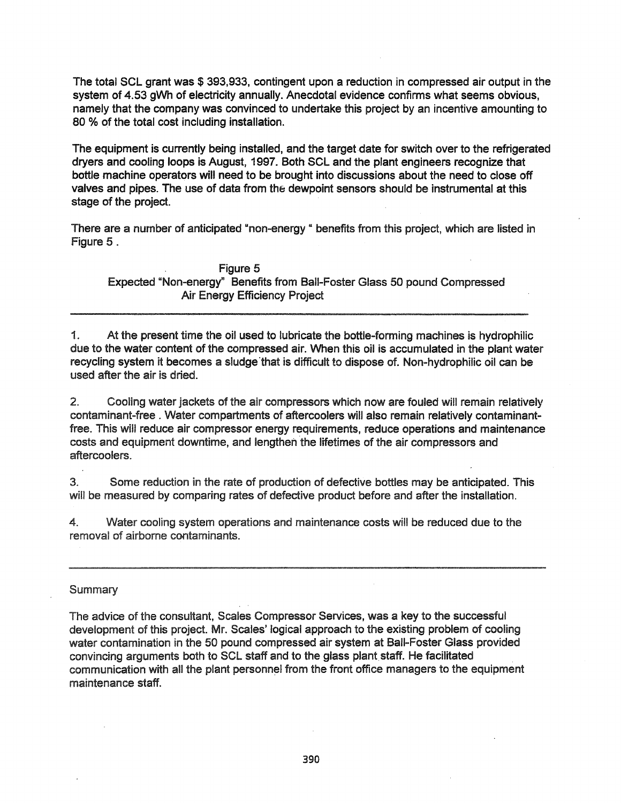The total SCL grant was \$ 393,933, contingent upon a reduction in compressed air output in the system of 4.53 gWh of electricity annually. Anecdotal evidence confirms what seems obvious, namely that the company was convinced to undertake this project by an incentive amounting to 80 % of the total cost including installation.

The equipment is currently being installed, and the target date for switch over to the refrigerated dryers and cooling loops is August, 1997. Both SCL and the plant engineers recognize that bottle machine operators will need to be brought into discussions about the need to close off valves and pipes. The use of data from the dewpoint sensors should be instrumental at this stage of the project.

There are a number of anticipated "non-energy " benefits from this project, which are listed in Figure 5.

Figure 5 Expected "Non-energy" Benefits from Ball-Foster Glass 50 pound Compressed Air Energy Efficiency Project

1. At the present time the oil used to lubricate the bottle-forming machines is hydrophilic due to the water content of the compressed air. When this oil is accumulated in the plant water recycling system it becomes a sludge'that is difficult to dispose of. Non-hydrophilic oil can be used after the air is dried.

2. Cooling water jackets of the air compressors which now are fouled will remain relatively contaminant-free. Water compartments of aftercoolers will also remain relatively contaminantfree. This will reduce air compressor energy requirements, reduce operations and maintenance costs and equipment downtime, and lengthen the lifetimes of the air compressors and aftercoolers.

3. Some reduction in the rate of production of defective bottles may be anticipated. This will be measured by comparing rates of defective product before and after the installation.

4. Water cooling system operations and maintenance costs will be reduced due to the removal of airborne contaminants.

# **Summary**

The advice of the consultant, Scales Compressor Services, was a key to the successful development of this project. Mr. Scales' logical approach to the existing problem of cooling water contamination in the 50 pound compressed air system at Ball-Foster Glass provided convincing arguments both to SCL staff and to the glass plant staff. He facilitated communication with all the plant personnel from the front office managers to the equipment maintenance staff.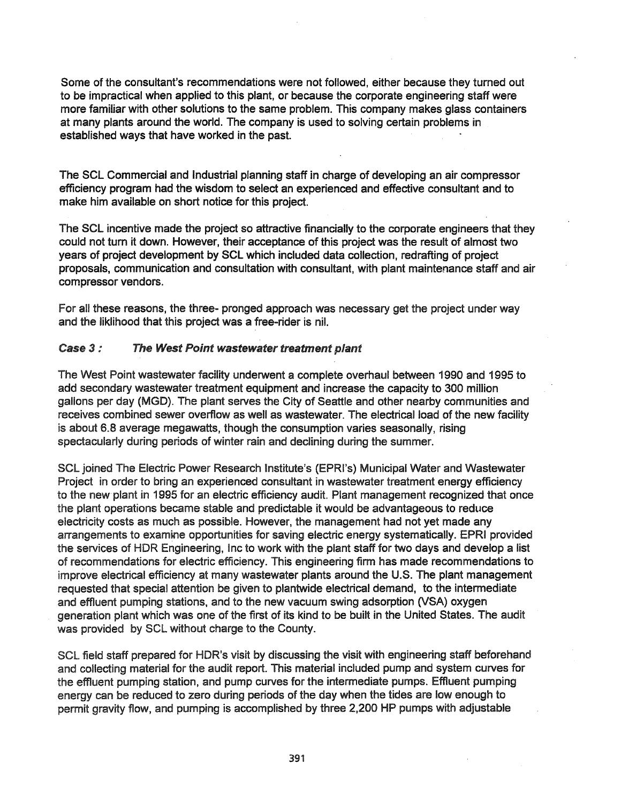Some of the consultant's recommendations were not followed, either because they turned out to be impractical when applied to this plant, or because the corporate engineering staff were more familiar with other solutions to the same problem. This company makes glass containers at many plants around the world. The company is used to solving certain problems in established ways that have worked in the past.

The SCL Commercial and Industrial planning staff in charge of developing an air compressor efficiency program had the wisdom to select an experienced and effective consultant and to make him available on short notice for this project.

The SCL incentive made the project so attractive financially to the corporate engineers that they could not tum it down. However, their acceptance of this project was the result of almost two years of project development by SCL which included data collection, redrafting of project proposals, communication and consultation with consultant, with plant maintenance staff and air compressor vendors.

For all these reasons, the three- pronged approach was necessary get the project under way and the liklihood that this project was a free-rider is nil.

#### Case 3: The West Point wastewater treatment plant

The West Point wastewater facility underwent a complete overhaul between 1990 and 1995 to add secondary wastewater treatment equipment and increase the capacity to 300 million gallons per day (MGD). The plant serves the City of Seattle and other nearby communities and receives combined sewer overflow as well as wastewater. The electrical load of the new facility is about 6.8 average megawatts, though the consumption varies seasonally, rising spectacularly during periods of winter rain and declining during the summer.

SCL joined The Electric Power Research Institute's (EPRl's) Municipal Water and Wastewater Project in order to bring an experienced consultant in wastewater treatment energy efficiency to the new plant in 1995 for an electric efficiency audit. Plant management recognized that once the plant operations became stable and predictable it would be advantageous to reduce electricity costs as much as possible. However, the management had not yet made any arrangements to examine opportunities for saving electric energy systematically. EPRI provided the services of HDR Engineering, Inc to work with the plant staff for two days and develop a list of recommendations for electric efficiency. This engineering firm has made recommendations to improve electrical efficiency at many wastewater plants around the U.S. The plant management requested that special attention be given to plantwide electrical demand, to the intermediate and effluent pumping stations, and to the new vacuum swing adsorption (VSA) oxygen generation plant which was one of the first of its kind to be built in the United States. The audit was provided by SCL without charge to the County.

SCL field staff prepared for HDR's visit by discussing the visit with engineering staff beforehand and collecting material for the audit report. This material included pump and system curves for the effluent pumping station, and pump curves for the intermediate pumps. Effluent pumping energy can be reduced to zero during periods of the day when the tides are low enough to permit gravity flow, and pumping is accomplished by three 2,200 HP pumps with adjustable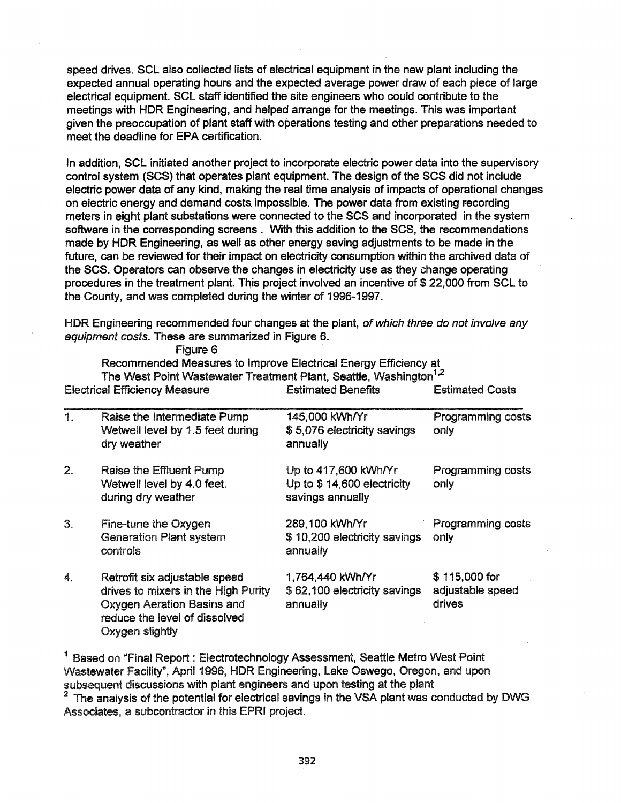speed drives. SCL also collected lists of electrical equipment in the new plant including the expected annual operating hours and the expected average power draw of each piece of large electrical equipment. SCL staff identified the site engineers who could contribute to the meetings with HDR Engineering, and helped arrange for the meetings. This was important given the preoccupation of plant staff with operations testing and other preparations needed to meet the deadline for EPA certification.

In addition, SCL initiated another project to incorporate electric power data into the supervisory control system (SCS) that operates plant equipment. The design of the SCS did not include electric power data of any kind, making the real time analysis of impacts of operational changes on electric energy and demand costs. impossible. The power data from existing recording meters in eight plant substations were connected to the SCS and incorporated in the system software in the corresponding screens. With this addition to the SCS, the recommendations made by HDR Engineering, as well as other energy saving adjustments to be made in the future, can be reviewed for their impact on electricity consumption within the archived data of the SCS. Operators can observe the changes in electricity use as they change operating procedures in the treatment plant. This project involved an incentive of \$ 22,000 from SCL to the County, and was completed during the winter of 1996-1997.

HDR Engineering recommended four changes at the plant, of which three do not involve any equipment costs. These are summarized in Figure 6.

|    | The West Point Wastewater Treatment Plant, Seattle, Washington <sup>1,2</sup>                                                                          |                                                                        |                                             |  |
|----|--------------------------------------------------------------------------------------------------------------------------------------------------------|------------------------------------------------------------------------|---------------------------------------------|--|
|    | <b>Electrical Efficiency Measure</b>                                                                                                                   | <b>Estimated Benefits</b>                                              | <b>Estimated Costs</b>                      |  |
| 1. | Raise the Intermediate Pump<br>Wetwell level by 1.5 feet during<br>dry weather                                                                         | 145,000 kWh/Yr<br>\$5,076 electricity savings<br>annually              | <b>Programming costs</b><br>only            |  |
| 2. | <b>Raise the Effluent Pump</b><br>Wetwell level by 4.0 feet.<br>during dry weather                                                                     | Up to 417,600 kWh/Yr<br>Up to \$14,600 electricity<br>savings annually | Programming costs<br>only                   |  |
| 3. | Fine-tune the Oxygen<br><b>Generation Plant system</b><br>controls                                                                                     | 289,100 kWh/Yr<br>\$10,200 electricity savings<br>annually             | Programming costs<br>only                   |  |
| 4. | Retrofit six adjustable speed<br>drives to mixers in the High Purity<br>Oxygen Aeration Basins and<br>reduce the level of dissolved<br>Oxygen slightly | 1,764,440 kWh/Yr<br>\$62,100 electricity savings<br>annually           | \$115,000 for<br>adjustable speed<br>drives |  |

Figure 6 Recommended Measures to Improve Electrical Energy Efficiency at The West Point Wastewater Treatment Plant, Seattle, Washington<sup>1</sup> 2

<sup>1</sup> Based on "Final Report: Electrotechnology Assessment, Seattle Metro West Point Wastewater Facility", April 1996, HDR Engineering, Lake Oswego, Oregon, and upon subsequent discussions with plant engineers and upon testing at the plant

2 The analysis of the potential for electrical savings in the VSA plant was conducted by DWG Associates, a subcontractor in this EPRI project.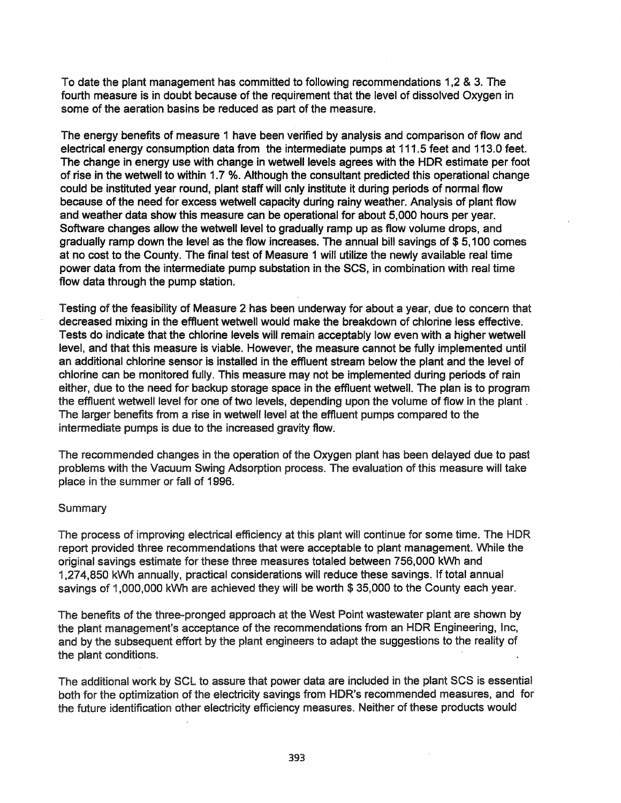To date the plant management has committed to following recommendations 1,2 & 3. The fourth measure is in doubt because of the requirement that the level of dissolved Oxygen in some of the aeration basins be reduced as part of the measure.

The energy benefits of measure 1 have been verified by analysis and comparison of flow and electrical energy consumption data from the intermediate pumps at 111.5 feet and 113.0 feet. The change in energy use with change in wetwell levels agrees with the HDR estimate per foot of rise in the wetwell to within 1.7 %. Although the consultant predicted this operational change could be instituted year round, plant staff will only institute it during periods of normal flow because of the need for excess wetwell capacity during rainy weather. Analysis of plant flow and weather data show this measure can be operational for about 5,000 hours per year. Software changes allow the wetwell level to gradually ramp up as flow volume drops, and gradually ramp down the level as the flow increases. The annual bill savings of \$ 5,100 comes at no cost to the County. The final test of Measure 1 will utilize the newly available real time power data from the intermediate pump substation in the SCS, in combination with real time flow data through the pump station.

Testing of the feasibility of Measure 2 has been underway for about a year, due to concern that decreased mixing in the effluent wetwell would make the breakdown of chlorine less effective. Tests do indicate that the chlorine levels will remain acceptably low even with a higher wetwell level, and that this measure is viable. However, the measure cannot be fully implemented until an additional chlorine sensor is installed in the effluent stream below the plant and the level of chlorine can be monitored fully. This measure may not be implemented during periods of rain either, due to the need for backup storage space in the effluent wetwell. The plan is to program the effluent wetwell level for one of two levels, depending upon the volume of flow in the plant. The larger benefits from a rise in wetwell level at the effluent pumps compared to the intermediate pumps is due to the increased gravity flow.

The recommended changes in the operation of the Oxygen plant has been delayed due to past problems with the Vacuum Swing Adsorption process. The evaluation of this measure will take place in the summer or fall of 1996.

#### **Summary**

The process of improving electrical efficiency at this plant will continue for some time. The HDR report provided three recommendations that were acceptable to plant management. While the original savings estimate for these three measures totaled between 756,000 kWh and 1,274,850 kWh annually, practical considerations will reduce these savings. If total annual savings of 1,000,000 kWh are achieved they will be worth \$35,000 to the County each year.

The benefits of the three-pronged approach at the West Point wastewater plant are shown by the plant management's acceptance of the recommendations from an HDR Engineering, Inc, and by the subsequent effort by the plant engineers to adapt the suggestions to the reality of the plant conditions.

The additional work by SCl to assure that power data are included in the plant SCS is essential both for the optimization of the electricity savings from HDR's recommended measures, and for the future identification other electricity efficiency measures. Neither of these products would